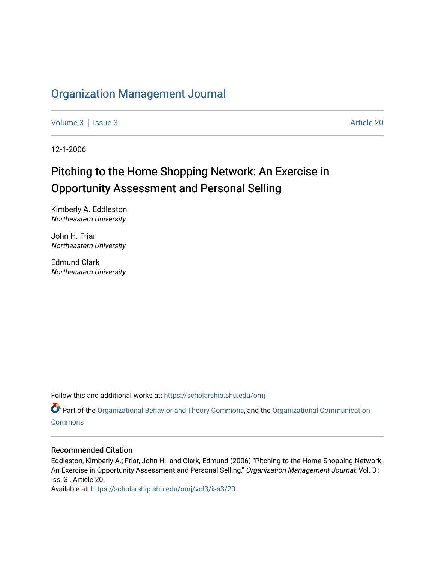## [Organization Management Journal](https://scholarship.shu.edu/omj)

[Volume 3](https://scholarship.shu.edu/omj/vol3) | [Issue 3](https://scholarship.shu.edu/omj/vol3/iss3) Article 20

12-1-2006

# Pitching to the Home Shopping Network: An Exercise in Opportunity Assessment and Personal Selling

Kimberly A. Eddleston Northeastern University

John H. Friar Northeastern University

Edmund Clark Northeastern University

Follow this and additional works at: [https://scholarship.shu.edu/omj](https://scholarship.shu.edu/omj?utm_source=scholarship.shu.edu%2Fomj%2Fvol3%2Fiss3%2F20&utm_medium=PDF&utm_campaign=PDFCoverPages) 

Part of the [Organizational Behavior and Theory Commons,](http://network.bepress.com/hgg/discipline/639?utm_source=scholarship.shu.edu%2Fomj%2Fvol3%2Fiss3%2F20&utm_medium=PDF&utm_campaign=PDFCoverPages) and the [Organizational Communication](http://network.bepress.com/hgg/discipline/335?utm_source=scholarship.shu.edu%2Fomj%2Fvol3%2Fiss3%2F20&utm_medium=PDF&utm_campaign=PDFCoverPages) [Commons](http://network.bepress.com/hgg/discipline/335?utm_source=scholarship.shu.edu%2Fomj%2Fvol3%2Fiss3%2F20&utm_medium=PDF&utm_campaign=PDFCoverPages)

#### Recommended Citation

Eddleston, Kimberly A.; Friar, John H.; and Clark, Edmund (2006) "Pitching to the Home Shopping Network: An Exercise in Opportunity Assessment and Personal Selling," Organization Management Journal: Vol. 3 : Iss. 3 , Article 20.

Available at: [https://scholarship.shu.edu/omj/vol3/iss3/20](https://scholarship.shu.edu/omj/vol3/iss3/20?utm_source=scholarship.shu.edu%2Fomj%2Fvol3%2Fiss3%2F20&utm_medium=PDF&utm_campaign=PDFCoverPages)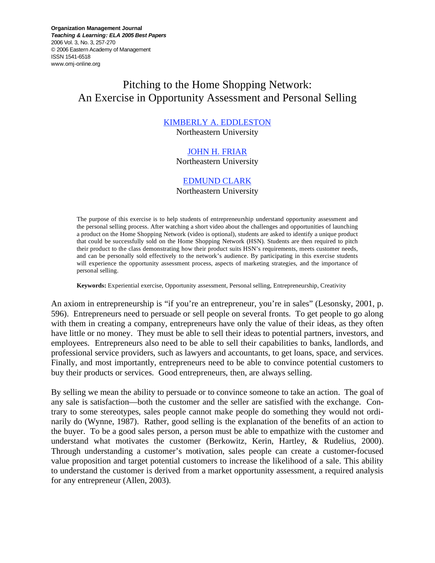**Organization Management Journal**  *Teaching & Learning: ELA 2005 Best Papers*  2006 Vol. 3, No. 3, 257-270 © 2006 Eastern Academy of Management ISSN 1541-6518 www.omj-online.org

## Pitching to the Home Shopping Network: An Exercise in Opportunity Assessment and Personal Selling

#### [KIMBERLY A. EDDLESTON](mailto:K.eddleston@neu.edu)

Northeastern University

#### [JOHN H. FRIAR](mailto:j.friar@neu.edu)

Northeastern University

#### [EDMUND CLARK](mailto:ted.clark@neu.edu)

Northeastern University

The purpose of this exercise is to help students of entrepreneurship understand opportunity assessment and the personal selling process. After watching a short video about the challenges and opportunities of launching a product on the Home Shopping Network (video is optional), students are asked to identify a unique product that could be successfully sold on the Home Shopping Network (HSN). Students are then required to pitch their product to the class demonstrating how their product suits HSN's requirements, meets customer needs, and can be personally sold effectively to the network's audience. By participating in this exercise students will experience the opportunity assessment process, aspects of marketing strategies, and the importance of personal selling.

**Keywords:** Experiential exercise, Opportunity assessment, Personal selling, Entrepreneurship, Creativity

An axiom in entrepreneurship is "if you're an entrepreneur, you're in sales" (Lesonsky, 2001, p. 596). Entrepreneurs need to persuade or sell people on several fronts. To get people to go along with them in creating a company, entrepreneurs have only the value of their ideas, as they often have little or no money. They must be able to sell their ideas to potential partners, investors, and employees. Entrepreneurs also need to be able to sell their capabilities to banks, landlords, and professional service providers, such as lawyers and accountants, to get loans, space, and services. Finally, and most importantly, entrepreneurs need to be able to convince potential customers to buy their products or services. Good entrepreneurs, then, are always selling.

By selling we mean the ability to persuade or to convince someone to take an action. The goal of any sale is satisfaction—both the customer and the seller are satisfied with the exchange. Contrary to some stereotypes, sales people cannot make people do something they would not ordinarily do (Wynne, 1987). Rather, good selling is the explanation of the benefits of an action to the buyer. To be a good sales person, a person must be able to empathize with the customer and understand what motivates the customer (Berkowitz, Kerin, Hartley, & Rudelius, 2000). Through understanding a customer's motivation, sales people can create a customer-focused value proposition and target potential customers to increase the likelihood of a sale. This ability to understand the customer is derived from a market opportunity assessment, a required analysis for any entrepreneur (Allen, 2003).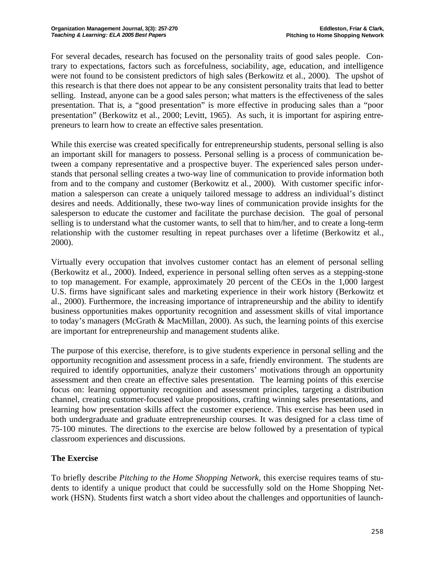For several decades, research has focused on the personality traits of good sales people. Contrary to expectations, factors such as forcefulness, sociability, age, education, and intelligence were not found to be consistent predictors of high sales (Berkowitz et al., 2000). The upshot of this research is that there does not appear to be any consistent personality traits that lead to better selling. Instead, anyone can be a good sales person; what matters is the effectiveness of the sales presentation. That is, a "good presentation" is more effective in producing sales than a "poor presentation" (Berkowitz et al., 2000; Levitt, 1965). As such, it is important for aspiring entrepreneurs to learn how to create an effective sales presentation.

While this exercise was created specifically for entrepreneurship students, personal selling is also an important skill for managers to possess. Personal selling is a process of communication between a company representative and a prospective buyer. The experienced sales person understands that personal selling creates a two-way line of communication to provide information both from and to the company and customer (Berkowitz et al., 2000). With customer specific information a salesperson can create a uniquely tailored message to address an individual's distinct desires and needs. Additionally, these two-way lines of communication provide insights for the salesperson to educate the customer and facilitate the purchase decision. The goal of personal selling is to understand what the customer wants, to sell that to him/her, and to create a long-term relationship with the customer resulting in repeat purchases over a lifetime (Berkowitz et al., 2000).

Virtually every occupation that involves customer contact has an element of personal selling (Berkowitz et al., 2000). Indeed, experience in personal selling often serves as a stepping-stone to top management. For example, approximately 20 percent of the CEOs in the 1,000 largest U.S. firms have significant sales and marketing experience in their work history (Berkowitz et al., 2000). Furthermore, the increasing importance of intrapreneurship and the ability to identify business opportunities makes opportunity recognition and assessment skills of vital importance to today's managers (McGrath & MacMillan, 2000). As such, the learning points of this exercise are important for entrepreneurship and management students alike.

The purpose of this exercise, therefore, is to give students experience in personal selling and the opportunity recognition and assessment process in a safe, friendly environment. The students are required to identify opportunities, analyze their customers' motivations through an opportunity assessment and then create an effective sales presentation. The learning points of this exercise focus on: learning opportunity recognition and assessment principles, targeting a distribution channel, creating customer-focused value propositions, crafting winning sales presentations, and learning how presentation skills affect the customer experience. This exercise has been used in both undergraduate and graduate entrepreneurship courses. It was designed for a class time of 75-100 minutes. The directions to the exercise are below followed by a presentation of typical classroom experiences and discussions.

## **The Exercise**

To briefly describe *Pitching to the Home Shopping Network,* this exercise requires teams of students to identify a unique product that could be successfully sold on the Home Shopping Network (HSN). Students first watch a short video about the challenges and opportunities of launch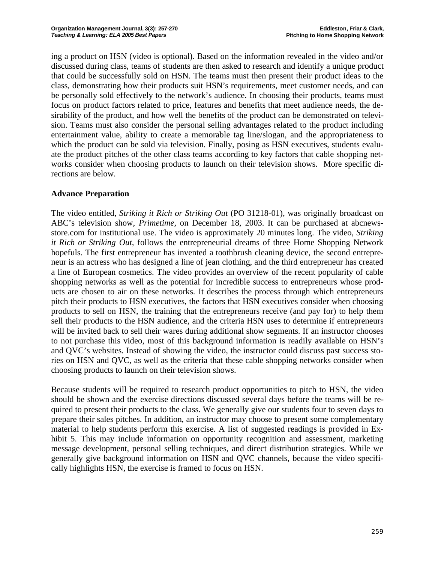ing a product on HSN (video is optional). Based on the information revealed in the video and/or discussed during class, teams of students are then asked to research and identify a unique product that could be successfully sold on HSN. The teams must then present their product ideas to the class, demonstrating how their products suit HSN's requirements, meet customer needs, and can be personally sold effectively to the network's audience. In choosing their products, teams must focus on product factors related to price, features and benefits that meet audience needs, the desirability of the product, and how well the benefits of the product can be demonstrated on television. Teams must also consider the personal selling advantages related to the product including entertainment value, ability to create a memorable tag line/slogan, and the appropriateness to which the product can be sold via television. Finally, posing as HSN executives, students evaluate the product pitches of the other class teams according to key factors that cable shopping networks consider when choosing products to launch on their television shows. More specific directions are below.

## **Advance Preparation**

The video entitled, *Striking it Rich or Striking Out* (PO 31218-01), was originally broadcast on ABC's television show, *Primetime,* on December 18, 2003. It can be purchased at abcnewsstore.com for institutional use. The video is approximately 20 minutes long. The video, *Striking it Rich or Striking Out,* follows the entrepreneurial dreams of three Home Shopping Network hopefuls. The first entrepreneur has invented a toothbrush cleaning device, the second entrepreneur is an actress who has designed a line of jean clothing, and the third entrepreneur has created a line of European cosmetics. The video provides an overview of the recent popularity of cable shopping networks as well as the potential for incredible success to entrepreneurs whose products are chosen to air on these networks. It describes the process through which entrepreneurs pitch their products to HSN executives, the factors that HSN executives consider when choosing products to sell on HSN, the training that the entrepreneurs receive (and pay for) to help them sell their products to the HSN audience, and the criteria HSN uses to determine if entrepreneurs will be invited back to sell their wares during additional show segments. If an instructor chooses to not purchase this video, most of this background information is readily available on HSN's and QVC's websites. Instead of showing the video, the instructor could discuss past success stories on HSN and QVC, as well as the criteria that these cable shopping networks consider when choosing products to launch on their television shows.

Because students will be required to research product opportunities to pitch to HSN, the video should be shown and the exercise directions discussed several days before the teams will be required to present their products to the class. We generally give our students four to seven days to prepare their sales pitches. In addition, an instructor may choose to present some complementary material to help students perform this exercise. A list of suggested readings is provided in Exhibit 5. This may include information on opportunity recognition and assessment, marketing message development, personal selling techniques, and direct distribution strategies. While we generally give background information on HSN and QVC channels, because the video specifically highlights HSN, the exercise is framed to focus on HSN.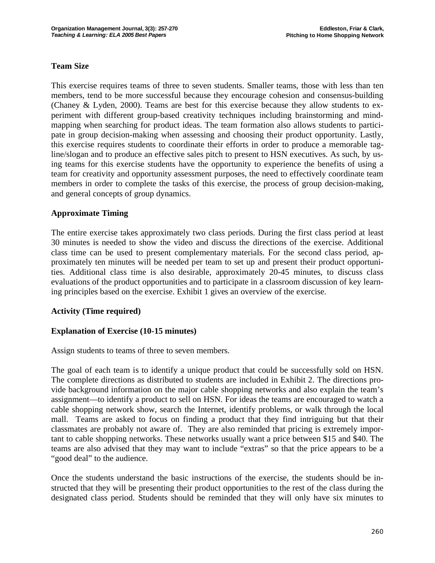## **Team Size**

This exercise requires teams of three to seven students. Smaller teams, those with less than ten members, tend to be more successful because they encourage cohesion and consensus-building (Chaney & Lyden, 2000). Teams are best for this exercise because they allow students to experiment with different group-based creativity techniques including brainstorming and mindmapping when searching for product ideas. The team formation also allows students to participate in group decision-making when assessing and choosing their product opportunity. Lastly, this exercise requires students to coordinate their efforts in order to produce a memorable tagline/slogan and to produce an effective sales pitch to present to HSN executives. As such, by using teams for this exercise students have the opportunity to experience the benefits of using a team for creativity and opportunity assessment purposes, the need to effectively coordinate team members in order to complete the tasks of this exercise, the process of group decision-making, and general concepts of group dynamics.

#### **Approximate Timing**

The entire exercise takes approximately two class periods. During the first class period at least 30 minutes is needed to show the video and discuss the directions of the exercise. Additional class time can be used to present complementary materials. For the second class period, approximately ten minutes will be needed per team to set up and present their product opportunities. Additional class time is also desirable, approximately 20-45 minutes, to discuss class evaluations of the product opportunities and to participate in a classroom discussion of key learning principles based on the exercise. Exhibit 1 gives an overview of the exercise.

#### **Activity (Time required)**

#### **Explanation of Exercise (10-15 minutes)**

Assign students to teams of three to seven members.

The goal of each team is to identify a unique product that could be successfully sold on HSN. The complete directions as distributed to students are included in Exhibit 2. The directions provide background information on the major cable shopping networks and also explain the team's assignment—to identify a product to sell on HSN. For ideas the teams are encouraged to watch a cable shopping network show, search the Internet, identify problems, or walk through the local mall. Teams are asked to focus on finding a product that they find intriguing but that their classmates are probably not aware of. They are also reminded that pricing is extremely important to cable shopping networks. These networks usually want a price between \$15 and \$40. The teams are also advised that they may want to include "extras" so that the price appears to be a "good deal" to the audience.

Once the students understand the basic instructions of the exercise, the students should be instructed that they will be presenting their product opportunities to the rest of the class during the designated class period. Students should be reminded that they will only have six minutes to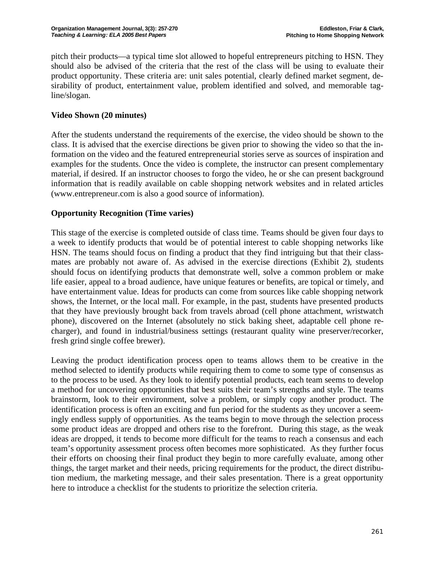pitch their products—a typical time slot allowed to hopeful entrepreneurs pitching to HSN. They should also be advised of the criteria that the rest of the class will be using to evaluate their product opportunity. These criteria are: unit sales potential, clearly defined market segment, desirability of product, entertainment value, problem identified and solved, and memorable tagline/slogan.

## **Video Shown (20 minutes)**

After the students understand the requirements of the exercise, the video should be shown to the class. It is advised that the exercise directions be given prior to showing the video so that the information on the video and the featured entrepreneurial stories serve as sources of inspiration and examples for the students. Once the video is complete, the instructor can present complementary material, if desired. If an instructor chooses to forgo the video, he or she can present background information that is readily available on cable shopping network websites and in related articles (www.entrepreneur.com is also a good source of information).

#### **Opportunity Recognition (Time varies)**

This stage of the exercise is completed outside of class time. Teams should be given four days to a week to identify products that would be of potential interest to cable shopping networks like HSN. The teams should focus on finding a product that they find intriguing but that their classmates are probably not aware of. As advised in the exercise directions (Exhibit 2), students should focus on identifying products that demonstrate well, solve a common problem or make life easier, appeal to a broad audience, have unique features or benefits, are topical or timely, and have entertainment value. Ideas for products can come from sources like cable shopping network shows, the Internet, or the local mall. For example, in the past, students have presented products that they have previously brought back from travels abroad (cell phone attachment, wristwatch phone), discovered on the Internet (absolutely no stick baking sheet, adaptable cell phone recharger), and found in industrial/business settings (restaurant quality wine preserver/recorker, fresh grind single coffee brewer).

Leaving the product identification process open to teams allows them to be creative in the method selected to identify products while requiring them to come to some type of consensus as to the process to be used. As they look to identify potential products, each team seems to develop a method for uncovering opportunities that best suits their team's strengths and style. The teams brainstorm, look to their environment, solve a problem, or simply copy another product. The identification process is often an exciting and fun period for the students as they uncover a seemingly endless supply of opportunities. As the teams begin to move through the selection process some product ideas are dropped and others rise to the forefront. During this stage, as the weak ideas are dropped, it tends to become more difficult for the teams to reach a consensus and each team's opportunity assessment process often becomes more sophisticated. As they further focus their efforts on choosing their final product they begin to more carefully evaluate, among other things, the target market and their needs, pricing requirements for the product, the direct distribution medium, the marketing message, and their sales presentation. There is a great opportunity here to introduce a checklist for the students to prioritize the selection criteria.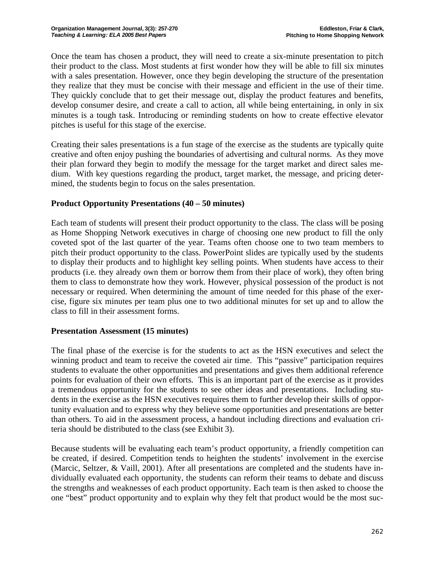Once the team has chosen a product, they will need to create a six-minute presentation to pitch their product to the class. Most students at first wonder how they will be able to fill six minutes with a sales presentation. However, once they begin developing the structure of the presentation they realize that they must be concise with their message and efficient in the use of their time. They quickly conclude that to get their message out, display the product features and benefits, develop consumer desire, and create a call to action, all while being entertaining, in only in six minutes is a tough task. Introducing or reminding students on how to create effective elevator pitches is useful for this stage of the exercise.

Creating their sales presentations is a fun stage of the exercise as the students are typically quite creative and often enjoy pushing the boundaries of advertising and cultural norms. As they move their plan forward they begin to modify the message for the target market and direct sales medium. With key questions regarding the product, target market, the message, and pricing determined, the students begin to focus on the sales presentation.

## **Product Opportunity Presentations (40 – 50 minutes)**

Each team of students will present their product opportunity to the class. The class will be posing as Home Shopping Network executives in charge of choosing one new product to fill the only coveted spot of the last quarter of the year. Teams often choose one to two team members to pitch their product opportunity to the class. PowerPoint slides are typically used by the students to display their products and to highlight key selling points. When students have access to their products (i.e. they already own them or borrow them from their place of work), they often bring them to class to demonstrate how they work. However, physical possession of the product is not necessary or required. When determining the amount of time needed for this phase of the exercise, figure six minutes per team plus one to two additional minutes for set up and to allow the class to fill in their assessment forms.

#### **Presentation Assessment (15 minutes)**

The final phase of the exercise is for the students to act as the HSN executives and select the winning product and team to receive the coveted air time. This "passive" participation requires students to evaluate the other opportunities and presentations and gives them additional reference points for evaluation of their own efforts. This is an important part of the exercise as it provides a tremendous opportunity for the students to see other ideas and presentations. Including students in the exercise as the HSN executives requires them to further develop their skills of opportunity evaluation and to express why they believe some opportunities and presentations are better than others. To aid in the assessment process, a handout including directions and evaluation criteria should be distributed to the class (see Exhibit 3).

Because students will be evaluating each team's product opportunity, a friendly competition can be created, if desired. Competition tends to heighten the students' involvement in the exercise (Marcic, Seltzer, & Vaill, 2001). After all presentations are completed and the students have individually evaluated each opportunity, the students can reform their teams to debate and discuss the strengths and weaknesses of each product opportunity. Each team is then asked to choose the one "best" product opportunity and to explain why they felt that product would be the most suc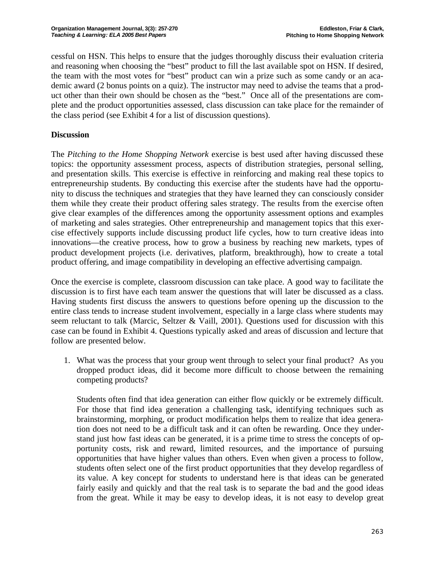cessful on HSN. This helps to ensure that the judges thoroughly discuss their evaluation criteria and reasoning when choosing the "best" product to fill the last available spot on HSN. If desired, the team with the most votes for "best" product can win a prize such as some candy or an academic award (2 bonus points on a quiz). The instructor may need to advise the teams that a product other than their own should be chosen as the "best." Once all of the presentations are complete and the product opportunities assessed, class discussion can take place for the remainder of the class period (see Exhibit 4 for a list of discussion questions).

## **Discussion**

The *Pitching to the Home Shopping Network* exercise is best used after having discussed these topics: the opportunity assessment process, aspects of distribution strategies, personal selling, and presentation skills. This exercise is effective in reinforcing and making real these topics to entrepreneurship students. By conducting this exercise after the students have had the opportunity to discuss the techniques and strategies that they have learned they can consciously consider them while they create their product offering sales strategy. The results from the exercise often give clear examples of the differences among the opportunity assessment options and examples of marketing and sales strategies. Other entrepreneurship and management topics that this exercise effectively supports include discussing product life cycles, how to turn creative ideas into innovations—the creative process, how to grow a business by reaching new markets, types of product development projects (i.e. derivatives, platform, breakthrough), how to create a total product offering, and image compatibility in developing an effective advertising campaign.

Once the exercise is complete, classroom discussion can take place. A good way to facilitate the discussion is to first have each team answer the questions that will later be discussed as a class. Having students first discuss the answers to questions before opening up the discussion to the entire class tends to increase student involvement, especially in a large class where students may seem reluctant to talk (Marcic, Seltzer & Vaill, 2001). Questions used for discussion with this case can be found in Exhibit 4. Questions typically asked and areas of discussion and lecture that follow are presented below.

1. What was the process that your group went through to select your final product? As you dropped product ideas, did it become more difficult to choose between the remaining competing products?

Students often find that idea generation can either flow quickly or be extremely difficult. For those that find idea generation a challenging task, identifying techniques such as brainstorming, morphing, or product modification helps them to realize that idea generation does not need to be a difficult task and it can often be rewarding. Once they understand just how fast ideas can be generated, it is a prime time to stress the concepts of opportunity costs, risk and reward, limited resources, and the importance of pursuing opportunities that have higher values than others. Even when given a process to follow, students often select one of the first product opportunities that they develop regardless of its value. A key concept for students to understand here is that ideas can be generated fairly easily and quickly and that the real task is to separate the bad and the good ideas from the great. While it may be easy to develop ideas, it is not easy to develop great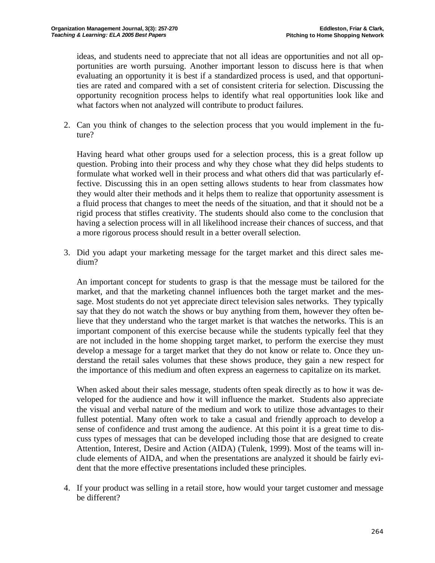ideas, and students need to appreciate that not all ideas are opportunities and not all opportunities are worth pursuing. Another important lesson to discuss here is that when evaluating an opportunity it is best if a standardized process is used, and that opportunities are rated and compared with a set of consistent criteria for selection. Discussing the opportunity recognition process helps to identify what real opportunities look like and what factors when not analyzed will contribute to product failures.

2. Can you think of changes to the selection process that you would implement in the future?

Having heard what other groups used for a selection process, this is a great follow up question. Probing into their process and why they chose what they did helps students to formulate what worked well in their process and what others did that was particularly effective. Discussing this in an open setting allows students to hear from classmates how they would alter their methods and it helps them to realize that opportunity assessment is a fluid process that changes to meet the needs of the situation, and that it should not be a rigid process that stifles creativity. The students should also come to the conclusion that having a selection process will in all likelihood increase their chances of success, and that a more rigorous process should result in a better overall selection.

3. Did you adapt your marketing message for the target market and this direct sales medium?

An important concept for students to grasp is that the message must be tailored for the market, and that the marketing channel influences both the target market and the message. Most students do not yet appreciate direct television sales networks. They typically say that they do not watch the shows or buy anything from them, however they often believe that they understand who the target market is that watches the networks. This is an important component of this exercise because while the students typically feel that they are not included in the home shopping target market, to perform the exercise they must develop a message for a target market that they do not know or relate to. Once they understand the retail sales volumes that these shows produce, they gain a new respect for the importance of this medium and often express an eagerness to capitalize on its market.

When asked about their sales message, students often speak directly as to how it was developed for the audience and how it will influence the market. Students also appreciate the visual and verbal nature of the medium and work to utilize those advantages to their fullest potential. Many often work to take a casual and friendly approach to develop a sense of confidence and trust among the audience. At this point it is a great time to discuss types of messages that can be developed including those that are designed to create Attention, Interest, Desire and Action (AIDA) (Tulenk, 1999). Most of the teams will include elements of AIDA, and when the presentations are analyzed it should be fairly evident that the more effective presentations included these principles.

4. If your product was selling in a retail store, how would your target customer and message be different?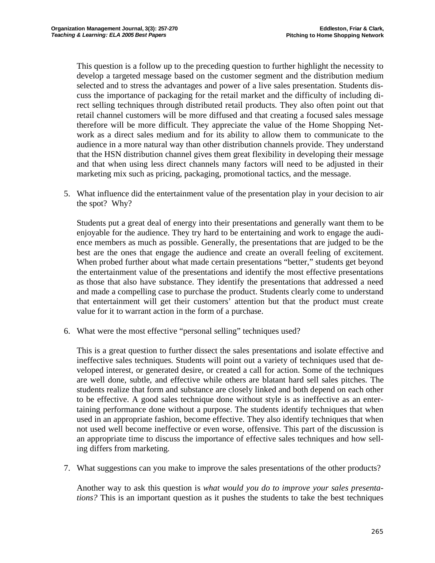This question is a follow up to the preceding question to further highlight the necessity to develop a targeted message based on the customer segment and the distribution medium selected and to stress the advantages and power of a live sales presentation. Students discuss the importance of packaging for the retail market and the difficulty of including direct selling techniques through distributed retail products. They also often point out that retail channel customers will be more diffused and that creating a focused sales message therefore will be more difficult. They appreciate the value of the Home Shopping Network as a direct sales medium and for its ability to allow them to communicate to the audience in a more natural way than other distribution channels provide. They understand that the HSN distribution channel gives them great flexibility in developing their message and that when using less direct channels many factors will need to be adjusted in their marketing mix such as pricing, packaging, promotional tactics, and the message.

5. What influence did the entertainment value of the presentation play in your decision to air the spot? Why?

Students put a great deal of energy into their presentations and generally want them to be enjoyable for the audience. They try hard to be entertaining and work to engage the audience members as much as possible. Generally, the presentations that are judged to be the best are the ones that engage the audience and create an overall feeling of excitement. When probed further about what made certain presentations "better," students get beyond the entertainment value of the presentations and identify the most effective presentations as those that also have substance. They identify the presentations that addressed a need and made a compelling case to purchase the product. Students clearly come to understand that entertainment will get their customers' attention but that the product must create value for it to warrant action in the form of a purchase.

6. What were the most effective "personal selling" techniques used?

This is a great question to further dissect the sales presentations and isolate effective and ineffective sales techniques. Students will point out a variety of techniques used that developed interest, or generated desire, or created a call for action. Some of the techniques are well done, subtle, and effective while others are blatant hard sell sales pitches. The students realize that form and substance are closely linked and both depend on each other to be effective. A good sales technique done without style is as ineffective as an entertaining performance done without a purpose. The students identify techniques that when used in an appropriate fashion, become effective. They also identify techniques that when not used well become ineffective or even worse, offensive. This part of the discussion is an appropriate time to discuss the importance of effective sales techniques and how selling differs from marketing.

7. What suggestions can you make to improve the sales presentations of the other products?

Another way to ask this question is *what would you do to improve your sales presentations?* This is an important question as it pushes the students to take the best techniques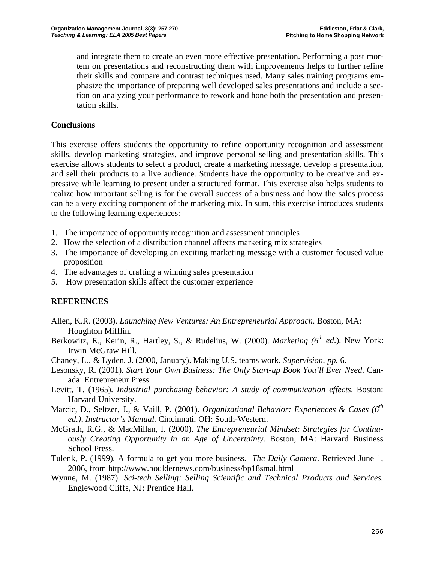and integrate them to create an even more effective presentation. Performing a post mortem on presentations and reconstructing them with improvements helps to further refine their skills and compare and contrast techniques used. Many sales training programs emphasize the importance of preparing well developed sales presentations and include a section on analyzing your performance to rework and hone both the presentation and presentation skills.

## **Conclusions**

This exercise offers students the opportunity to refine opportunity recognition and assessment skills, develop marketing strategies, and improve personal selling and presentation skills. This exercise allows students to select a product, create a marketing message, develop a presentation, and sell their products to a live audience. Students have the opportunity to be creative and expressive while learning to present under a structured format. This exercise also helps students to realize how important selling is for the overall success of a business and how the sales process can be a very exciting component of the marketing mix. In sum, this exercise introduces students to the following learning experiences:

- 1. The importance of opportunity recognition and assessment principles
- 2. How the selection of a distribution channel affects marketing mix strategies
- 3. The importance of developing an exciting marketing message with a customer focused value proposition
- 4. The advantages of crafting a winning sales presentation
- 5. How presentation skills affect the customer experience

## **REFERENCES**

- Allen, K.R. (2003). *Launching New Ventures: An Entrepreneurial Approach*. Boston, MA: Houghton Mifflin.
- Berkowitz, E., Kerin, R., Hartley, S., & Rudelius, W. (2000). *Marketing (6<sup>th</sup> ed.*). New York: Irwin McGraw Hill.
- Chaney, L., & Lyden, J. (2000, January). Making U.S. teams work. *Supervision, pp.* 6.
- Lesonsky, R. (2001). *Start Your Own Business: The Only Start-up Book You'll Ever Need*. Canada: Entrepreneur Press.
- Levitt, T. (1965). *Industrial purchasing behavior: A study of communication effects*. Boston: Harvard University.
- Marcic, D., Seltzer, J., & Vaill, P. (2001). *Organizational Behavior: Experiences & Cases (6th ed.), Instructor's Manual.* Cincinnati, OH: South-Western.
- McGrath, R.G., & MacMillan, I. (2000). *The Entrepreneurial Mindset: Strategies for Continuously Creating Opportunity in an Age of Uncertainty.* Boston, MA: Harvard Business School Press.
- Tulenk, P. (1999). A formula to get you more business. *The Daily Camera*. Retrieved June 1, 2006, from http://www.bouldernews.com/business/bp18smal.html
- Wynne, M. (1987). *Sci-tech Selling: Selling Scientific and Technical Products and Services.*  Englewood Cliffs, NJ: Prentice Hall.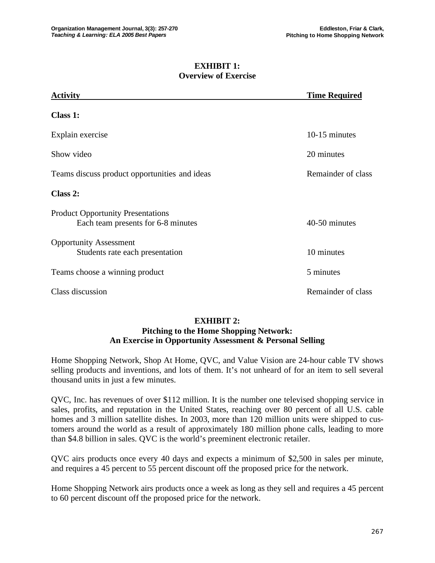## **EXHIBIT 1: Overview of Exercise**

| <b>Activity</b>                                                                | <b>Time Required</b> |
|--------------------------------------------------------------------------------|----------------------|
| Class 1:                                                                       |                      |
| Explain exercise                                                               | 10-15 minutes        |
| Show video                                                                     | 20 minutes           |
| Teams discuss product opportunities and ideas                                  | Remainder of class   |
| Class 2:                                                                       |                      |
| <b>Product Opportunity Presentations</b><br>Each team presents for 6-8 minutes | 40-50 minutes        |
| <b>Opportunity Assessment</b><br>Students rate each presentation               | 10 minutes           |
| Teams choose a winning product                                                 | 5 minutes            |
| Class discussion                                                               | Remainder of class   |

## **EXHIBIT 2:**

## **Pitching to the Home Shopping Network: An Exercise in Opportunity Assessment & Personal Selling**

Home Shopping Network, Shop At Home, QVC, and Value Vision are 24-hour cable TV shows selling products and inventions, and lots of them. It's not unheard of for an item to sell several thousand units in just a few minutes.

QVC, Inc. has revenues of over \$112 million. It is the number one televised shopping service in sales, profits, and reputation in the United States, reaching over 80 percent of all U.S. cable homes and 3 million satellite dishes. In 2003, more than 120 million units were shipped to customers around the world as a result of approximately 180 million phone calls, leading to more than \$4.8 billion in sales. QVC is the world's preeminent electronic retailer.

QVC airs products once every 40 days and expects a minimum of \$2,500 in sales per minute, and requires a 45 percent to 55 percent discount off the proposed price for the network.

Home Shopping Network airs products once a week as long as they sell and requires a 45 percent to 60 percent discount off the proposed price for the network.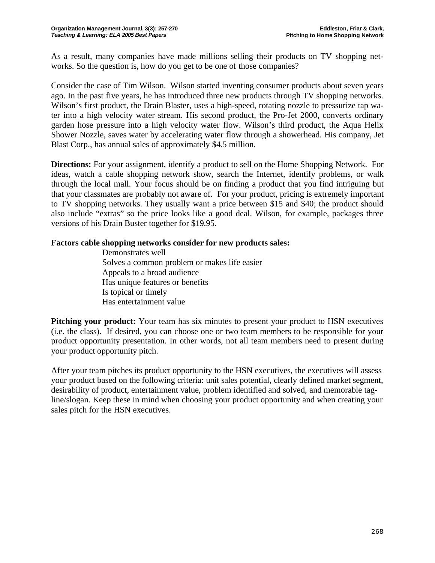As a result, many companies have made millions selling their products on TV shopping networks. So the question is, how do you get to be one of those companies?

Consider the case of Tim Wilson. Wilson started inventing consumer products about seven years ago. In the past five years, he has introduced three new products through TV shopping networks. Wilson's first product, the Drain Blaster, uses a high-speed, rotating nozzle to pressurize tap water into a high velocity water stream. His second product, the Pro-Jet 2000, converts ordinary garden hose pressure into a high velocity water flow. Wilson's third product, the Aqua Helix Shower Nozzle, saves water by accelerating water flow through a showerhead. His company, Jet Blast Corp., has annual sales of approximately \$4.5 million.

**Directions:** For your assignment, identify a product to sell on the Home Shopping Network. For ideas, watch a cable shopping network show, search the Internet, identify problems, or walk through the local mall. Your focus should be on finding a product that you find intriguing but that your classmates are probably not aware of. For your product, pricing is extremely important to TV shopping networks. They usually want a price between \$15 and \$40; the product should also include "extras" so the price looks like a good deal. Wilson, for example, packages three versions of his Drain Buster together for \$19.95.

#### **Factors cable shopping networks consider for new products sales:**

 Demonstrates well Solves a common problem or makes life easier Appeals to a broad audience Has unique features or benefits Is topical or timely Has entertainment value

**Pitching your product:** Your team has six minutes to present your product to HSN executives (i.e. the class). If desired, you can choose one or two team members to be responsible for your product opportunity presentation. In other words, not all team members need to present during your product opportunity pitch.

After your team pitches its product opportunity to the HSN executives, the executives will assess your product based on the following criteria: unit sales potential, clearly defined market segment, desirability of product, entertainment value, problem identified and solved, and memorable tagline/slogan. Keep these in mind when choosing your product opportunity and when creating your sales pitch for the HSN executives.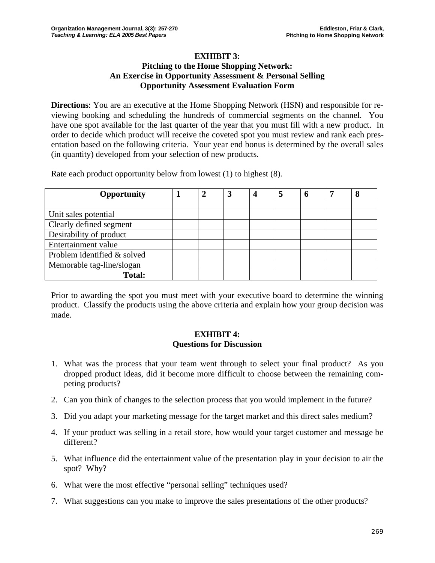#### **EXHIBIT 3:**

## **Pitching to the Home Shopping Network: An Exercise in Opportunity Assessment & Personal Selling Opportunity Assessment Evaluation Form**

**Directions**: You are an executive at the Home Shopping Network (HSN) and responsible for reviewing booking and scheduling the hundreds of commercial segments on the channel. You have one spot available for the last quarter of the year that you must fill with a new product. In order to decide which product will receive the coveted spot you must review and rank each presentation based on the following criteria. Your year end bonus is determined by the overall sales (in quantity) developed from your selection of new products.

Rate each product opportunity below from lowest (1) to highest (8).

| Opportunity                 |  |  | 5 | 6 | 8 |
|-----------------------------|--|--|---|---|---|
|                             |  |  |   |   |   |
| Unit sales potential        |  |  |   |   |   |
| Clearly defined segment     |  |  |   |   |   |
| Desirability of product     |  |  |   |   |   |
| Entertainment value         |  |  |   |   |   |
| Problem identified & solved |  |  |   |   |   |
| Memorable tag-line/slogan   |  |  |   |   |   |
| <b>Total:</b>               |  |  |   |   |   |

Prior to awarding the spot you must meet with your executive board to determine the winning product. Classify the products using the above criteria and explain how your group decision was made.

#### **EXHIBIT 4: Questions for Discussion**

- 1. What was the process that your team went through to select your final product? As you dropped product ideas, did it become more difficult to choose between the remaining competing products?
- 2. Can you think of changes to the selection process that you would implement in the future?
- 3. Did you adapt your marketing message for the target market and this direct sales medium?
- 4. If your product was selling in a retail store, how would your target customer and message be different?
- 5. What influence did the entertainment value of the presentation play in your decision to air the spot? Why?
- 6. What were the most effective "personal selling" techniques used?
- 7. What suggestions can you make to improve the sales presentations of the other products?